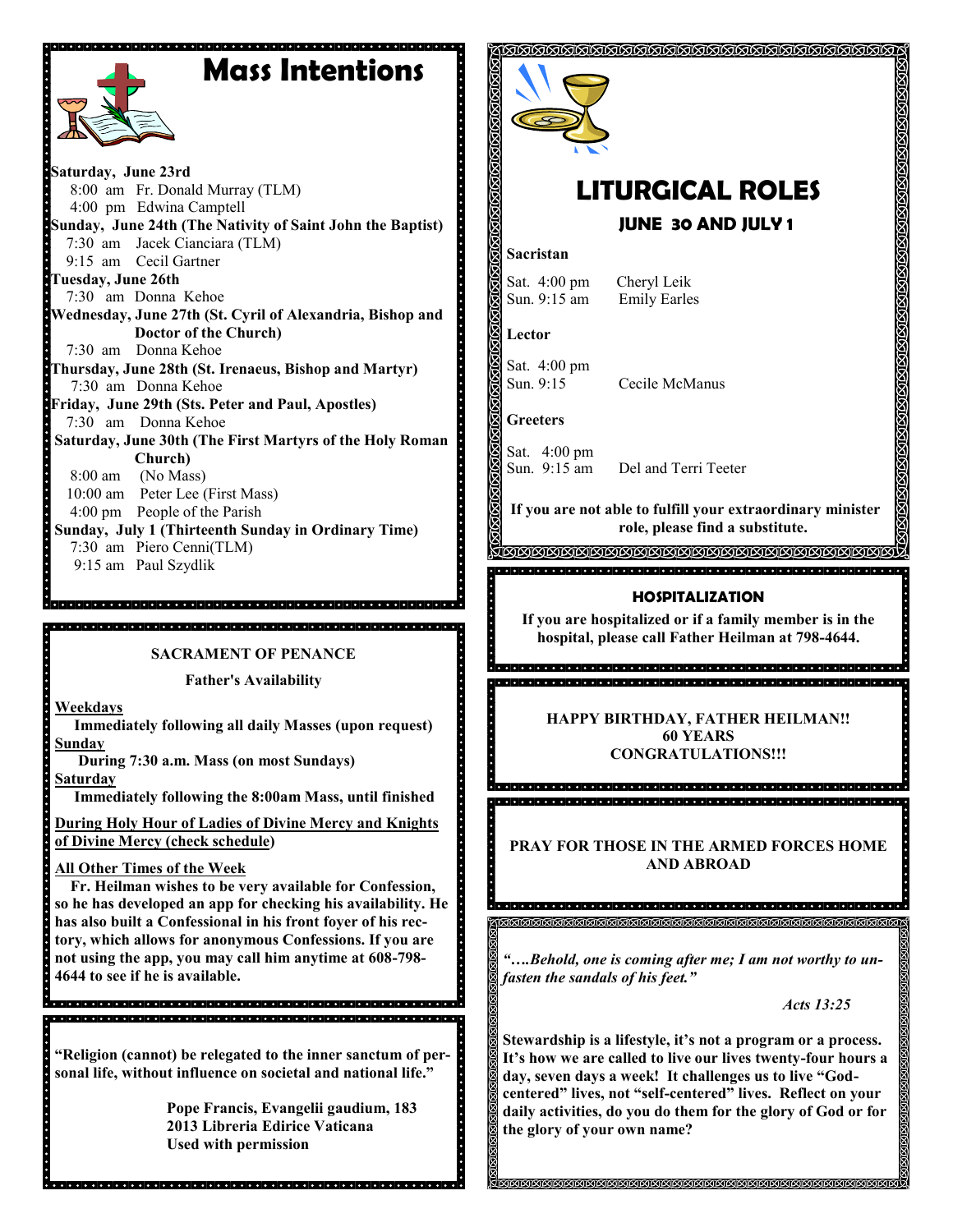# **Mass Intentions**



**Saturday, June 23rd** 8:00 am Fr. Donald Murray (TLM) 4:00 pm Edwina Camptell **Sunday, June 24th (The Nativity of Saint John the Baptist)** 7:30 am Jacek Cianciara (TLM) 9:15 am Cecil Gartner **Tuesday, June 26th** 7:30 am Donna Kehoe **Wednesday, June 27th (St. Cyril of Alexandria, Bishop and Doctor of the Church)** 7:30 am Donna Kehoe **Thursday, June 28th (St. Irenaeus, Bishop and Martyr)**  7:30 am Donna Kehoe **Friday, June 29th (Sts. Peter and Paul, Apostles)** 7:30 am Donna Kehoe **Saturday, June 30th (The First Martyrs of the Holy Roman Church)** 8:00 am (No Mass) 10:00 am Peter Lee (First Mass) 4:00 pm People of the Parish **Sunday, July 1 (Thirteenth Sunday in Ordinary Time)** 7:30 am Piero Cenni(TLM) 9:15 am Paul Szydlik

**SACRAMENT OF PENANCE**

.<br>In eleccione de la ciencia de la ciencia de la ciencia de la ciencia del ciencia de la ciencia del ciencia de

**Father's Availability**

**Weekdays**

 $\overline{\phantom{a}}$ 

 **Immediately following all daily Masses (upon request) Sunday** 

 **During 7:30 a.m. Mass (on most Sundays)**

**Saturday**

 **Immediately following the 8:00am Mass, until finished** 

**During Holy Hour of Ladies of Divine Mercy and Knights of Divine Mercy (check schedule)**

## **All Other Times of the Week**

 **Fr. Heilman wishes to be very available for Confession, so he has developed an app for checking his availability. He has also built a Confessional in his front foyer of his rectory, which allows for anonymous Confessions. If you are not using the app, you may call him anytime at 608-798- 4644 to see if he is available.** 

.<br>In proporcio del ciole del ciole del ciole del ciole del ciole del ciole del ciole del ciole del ciole del cio .<br>19 0 0 0 1 0 0 1 0 1 0 0 1 0 0 1 0 0 1 0 0 1 0 1 0 1 0 1 0 1 0 1 0 1 0 1 0 1 0 1 0 1 0 1 0 1 0 1 0 1 0 1 0 1 0

**"Religion (cannot) be relegated to the inner sanctum of personal life, without influence on societal and national life."**

**Pope Francis, Evangelii gaudium, 183 2013 Libreria Edirice Vaticana Used with permission**



# **LITURGICAL ROLES**

# **JUNE 30 AND JULY 1**

### **Sacristan**

Sat. 4:00 pm Cheryl Leik Sun. 9:15 am Emily Earles

**Lector**

Sat. 4:00 pm Sun. 9:15 Cecile McManus

**Greeters**

Sat. 4:00 pm Sun. 9:15 am Del and Terri Teeter

**If you are not able to fulfill your extraordinary minister role, please find a substitute.** 

TAAAAAAAAAAAAAAAAAAAAAAAAAAAAAAAAAAAAA

### **HOSPITALIZATION**

**If you are hospitalized or if a family member is in the hospital, please call Father Heilman at 798-4644.**

> **HAPPY BIRTHDAY, FATHER HEILMAN!! 60 YEARS CONGRATULATIONS!!!**

**PRAY FOR THOSE IN THE ARMED FORCES HOME AND ABROAD**

*"….Behold, one is coming after me; I am not worthy to unfasten the sandals of his feet."*

*Acts 13:25*

**Stewardship is a lifestyle, it's not a program or a process. It's how we are called to live our lives twenty-four hours a day, seven days a week! It challenges us to live "Godcentered" lives, not "self-centered" lives. Reflect on your daily activities, do you do them for the glory of God or for the glory of your own name?**